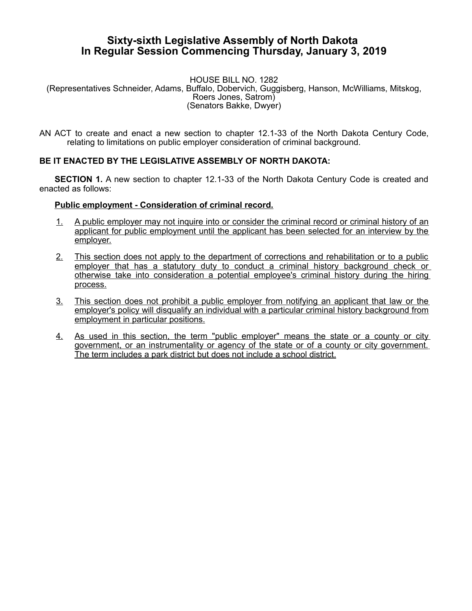## **Sixty-sixth Legislative Assembly of North Dakota In Regular Session Commencing Thursday, January 3, 2019**

## HOUSE BILL NO. 1282 (Representatives Schneider, Adams, Buffalo, Dobervich, Guggisberg, Hanson, McWilliams, Mitskog, Roers Jones, Satrom) (Senators Bakke, Dwyer)

AN ACT to create and enact a new section to chapter 12.1-33 of the North Dakota Century Code, relating to limitations on public employer consideration of criminal background.

## **BE IT ENACTED BY THE LEGISLATIVE ASSEMBLY OF NORTH DAKOTA:**

**SECTION 1.** A new section to chapter 12.1-33 of the North Dakota Century Code is created and enacted as follows:

## **Public employment - Consideration of criminal record.**

- 1. A public employer may not inquire into or consider the criminal record or criminal history of an applicant for public employment until the applicant has been selected for an interview by the employer.
- 2. This section does not apply to the department of corrections and rehabilitation or to a public employer that has a statutory duty to conduct a criminal history background check or otherwise take into consideration a potential employee's criminal history during the hiring process.
- 3. This section does not prohibit a public employer from notifying an applicant that law or the employer's policy will disqualify an individual with a particular criminal history background from employment in particular positions.
- 4. As used in this section, the term "public employer" means the state or a county or city government, or an instrumentality or agency of the state or of a county or city government. The term includes a park district but does not include a school district.